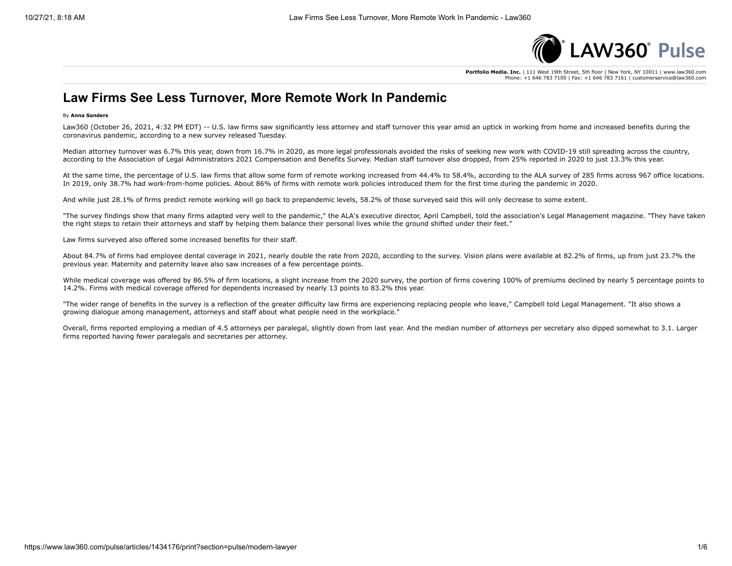

**Portfolio Media. Inc.** | 111 West 19th Street, 5th floor | New York, NY 10011 | www.law360.com Phone: +1 646 783 7100 | Fax: +1 646 783 7161 | customerservice@law360.com

### **Law Firms See Less Turnover, More Remote Work In Pandemic**

#### By **Anna Sanders**

Law360 (October 26, 2021, 4:32 PM EDT) -- U.S. law firms saw significantly less attorney and staff turnover this year amid an uptick in working from home and increased benefits during the coronavirus pandemic, according to a new survey released Tuesday.

Median attorney turnover was 6.7% this year, down from 16.7% in 2020, as more legal professionals avoided the risks of seeking new work with COVID-19 still spreading across the country, according to the Association of Legal Administrators 2021 Compensation and Benefits Survey. Median staff turnover also dropped, from 25% reported in 2020 to just 13.3% this year.

At the same time, the percentage of U.S. law firms that allow some form of remote working increased from 44.4% to 58.4%, according to the ALA survey of 285 firms across 967 office locations. In 2019, only 38.7% had work-from-home policies. About 86% of firms with remote work policies introduced them for the first time during the pandemic in 2020.

And while just 28.1% of firms predict remote working will go back to prepandemic levels, 58.2% of those surveyed said this will only decrease to some extent.

"The survey findings show that many firms adapted very well to the pandemic," the ALA's executive director, April Campbell, told the association's Legal Management magazine. "They have taken the right steps to retain their attorneys and staff by helping them balance their personal lives while the ground shifted under their feet."

Law firms surveyed also offered some increased benefits for their staff.

About 84.7% of firms had employee dental coverage in 2021, nearly double the rate from 2020, according to the survey. Vision plans were available at 82.2% of firms, up from just 23.7% the previous year. Maternity and paternity leave also saw increases of a few percentage points.

While medical coverage was offered by 86.5% of firm locations, a slight increase from the 2020 survey, the portion of firms covering 100% of premiums declined by nearly 5 percentage points to 14.2%. Firms with medical coverage offered for dependents increased by nearly 13 points to 83.2% this year.

"The wider range of benefits in the survey is a reflection of the greater difficulty law firms are experiencing replacing people who leave," Campbell told Legal Management. "It also shows a growing dialogue among management, attorneys and staff about what people need in the workplace."

Overall, firms reported employing a median of 4.5 attorneys per paralegal, slightly down from last year. And the median number of attorneys per secretary also dipped somewhat to 3.1. Larger firms reported having fewer paralegals and secretaries per attorney.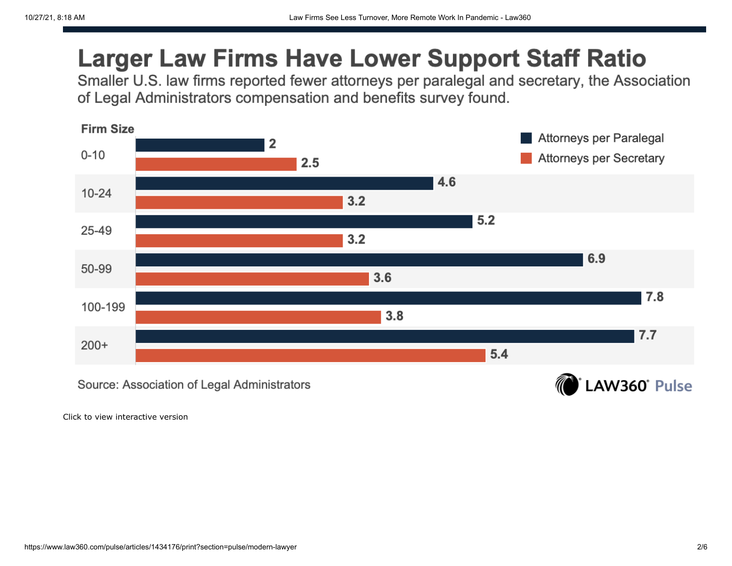# **Larger Law Firms Have Lower Support Staff Ratio**

Smaller U.S. law firms reported fewer attorneys per paralegal and secretary, the Association of Legal Administrators compensation and benefits survey found.



Click to view interactive version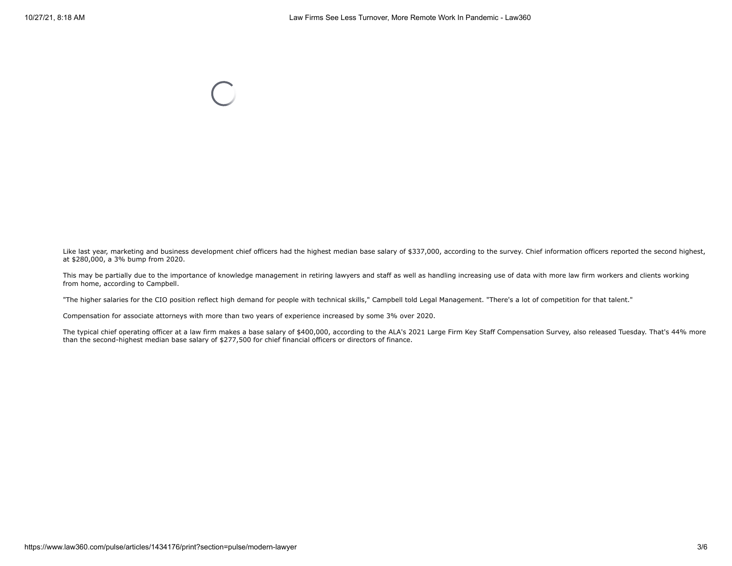Like last year, marketing and business development chief officers had the highest median base salary of \$337,000, according to the survey. Chief information officers reported the second highest, at \$280,000, a 3% bump from 2020.

This may be partially due to the importance of knowledge management in retiring lawyers and staff as well as handling increasing use of data with more law firm workers and clients working from home, according to Campbell.

"The higher salaries for the CIO position reflect high demand for people with technical skills," Campbell told Legal Management. "There's a lot of competition for that talent."

Compensation for associate attorneys with more than two years of experience increased by some 3% over 2020.

The typical chief operating officer at a law firm makes a base salary of \$400,000, according to the ALA's 2021 Large Firm Key Staff Compensation Survey, also released Tuesday. That's 44% more than the second-highest median base salary of \$277,500 for chief financial officers or directors of finance.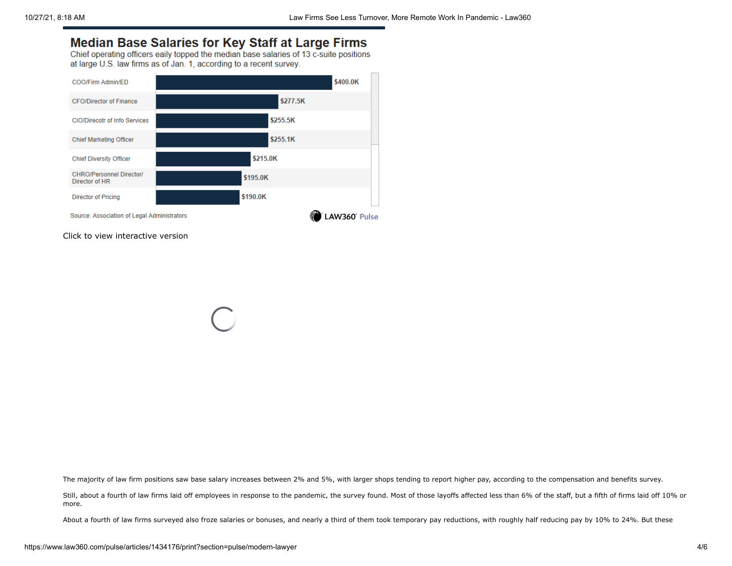### **Median Base Salaries for Key Staff at Large Firms**

Chief operating officers eaily topped the median base salaries of 13 c-suite positions at large U.S. law firms as of Jan. 1, according to a recent survey.



Click to view interactive version

The majority of law firm positions saw base salary increases between 2% and 5%, with larger shops tending to report higher pay, according to the compensation and benefits survey.

Still, about a fourth of law firms laid off employees in response to the pandemic, the survey found. Most of those layoffs affected less than 6% of the staff, but a fifth of firms laid off 10% or more.

About a fourth of law firms surveyed also froze salaries or bonuses, and nearly a third of them took temporary pay reductions, with roughly half reducing pay by 10% to 24%. But these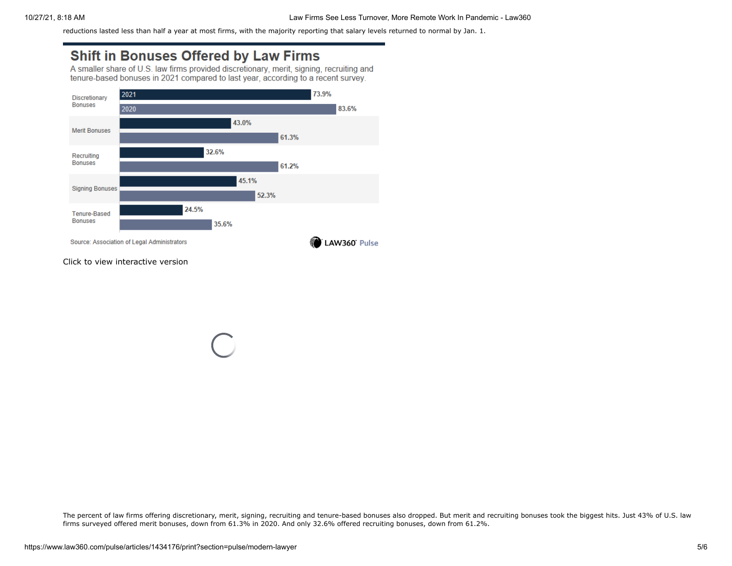reductions lasted less than half a year at most firms, with the majority reporting that salary levels returned to normal by Jan. 1.

## **Shift in Bonuses Offered by Law Firms**

A smaller share of U.S. law firms provided discretionary, merit, signing, recruiting and tenure-based bonuses in 2021 compared to last year, according to a recent survey.



Click to view interactive version

The percent of law firms offering discretionary, merit, signing, recruiting and tenure-based bonuses also dropped. But merit and recruiting bonuses took the biggest hits. Just 43% of U.S. law firms surveyed offered merit bonuses, down from 61.3% in 2020. And only 32.6% offered recruiting bonuses, down from 61.2%.